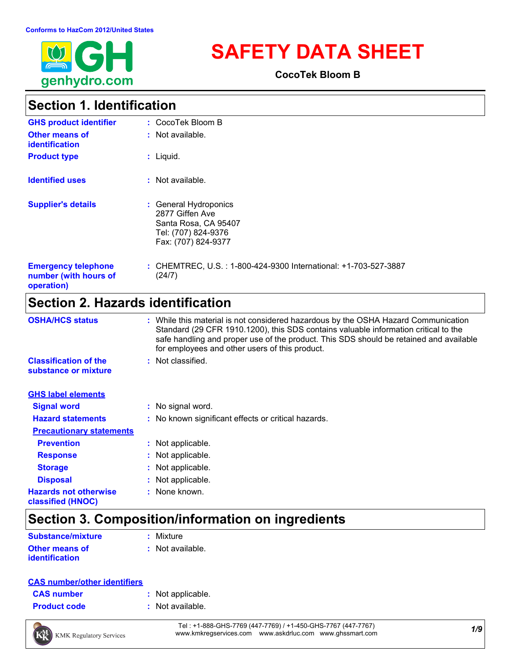

# **SAFETY DATA SHEET**

**CocoTek Bloom B**

### **Section 1. Identification**

| <b>GHS product identifier</b>                                     | : CocoTek Bloom B                                                                                              |
|-------------------------------------------------------------------|----------------------------------------------------------------------------------------------------------------|
| <b>Other means of</b><br><b>identification</b>                    | $:$ Not available.                                                                                             |
| <b>Product type</b>                                               | $:$ Liquid.                                                                                                    |
| <b>Identified uses</b>                                            | $:$ Not available.                                                                                             |
| <b>Supplier's details</b>                                         | : General Hydroponics<br>2877 Giffen Ave<br>Santa Rosa, CA 95407<br>Tel: (707) 824-9376<br>Fax: (707) 824-9377 |
| <b>Emergency telephone</b><br>number (with hours of<br>operation) | : CHEMTREC, U.S. : 1-800-424-9300 International: +1-703-527-3887<br>(24/7)                                     |

### **Section 2. Hazards identification**

| <b>OSHA/HCS status</b>                               | : While this material is not considered hazardous by the OSHA Hazard Communication<br>Standard (29 CFR 1910.1200), this SDS contains valuable information critical to the<br>safe handling and proper use of the product. This SDS should be retained and available<br>for employees and other users of this product. |
|------------------------------------------------------|-----------------------------------------------------------------------------------------------------------------------------------------------------------------------------------------------------------------------------------------------------------------------------------------------------------------------|
| <b>Classification of the</b><br>substance or mixture | : Not classified.                                                                                                                                                                                                                                                                                                     |
| <b>GHS label elements</b>                            |                                                                                                                                                                                                                                                                                                                       |
| <b>Signal word</b>                                   | : No signal word.                                                                                                                                                                                                                                                                                                     |
| <b>Hazard statements</b>                             | : No known significant effects or critical hazards.                                                                                                                                                                                                                                                                   |
| <b>Precautionary statements</b>                      |                                                                                                                                                                                                                                                                                                                       |
| <b>Prevention</b>                                    | : Not applicable.                                                                                                                                                                                                                                                                                                     |
| <b>Response</b>                                      | : Not applicable.                                                                                                                                                                                                                                                                                                     |
| <b>Storage</b>                                       | : Not applicable.                                                                                                                                                                                                                                                                                                     |
| <b>Disposal</b>                                      | : Not applicable.                                                                                                                                                                                                                                                                                                     |
| <b>Hazards not otherwise</b><br>classified (HNOC)    | : None known.                                                                                                                                                                                                                                                                                                         |

### **Section 3. Composition/information on ingredients**

| <b>Substance/mixture</b> | : Mixture        |
|--------------------------|------------------|
| <b>Other means of</b>    | : Not available. |
| <i>identification</i>    |                  |

#### **CAS number/other identifiers**

| <b>CAS number</b> |  |  |
|-------------------|--|--|
|-------------------|--|--|

- **:** Not applicable.
- **Product code :** Not available.



*1/9* Tel : +1-888-GHS-7769 (447-7769) / +1-450-GHS-7767 (447-7767) www.kmkregservices.com www.askdrluc.com www.ghssmart.com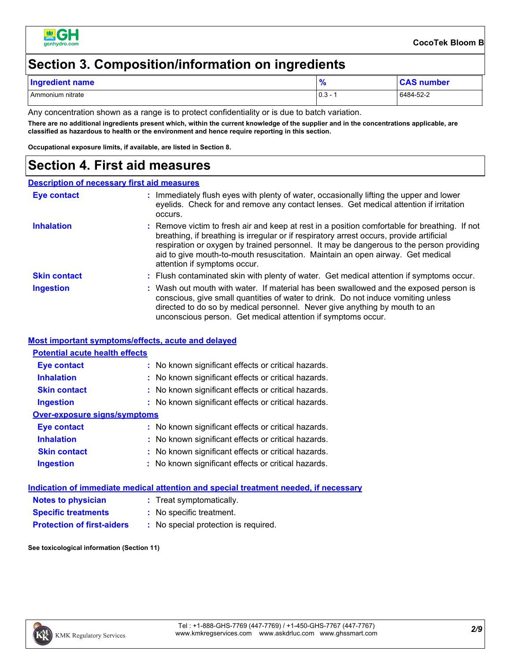

### **Section 3. Composition/information on ingredients**

| <b>Indredient name</b> | הו      | ımber     |
|------------------------|---------|-----------|
| Ammonium nitrate       | $0.3 -$ | 6484-52-2 |

Any concentration shown as a range is to protect confidentiality or is due to batch variation.

**There are no additional ingredients present which, within the current knowledge of the supplier and in the concentrations applicable, are classified as hazardous to health or the environment and hence require reporting in this section.**

**Occupational exposure limits, if available, are listed in Section 8.**

### **Section 4. First aid measures**

#### **Description of necessary first aid measures**

| <b>Eye contact</b>  | : Immediately flush eyes with plenty of water, occasionally lifting the upper and lower<br>eyelids. Check for and remove any contact lenses. Get medical attention if irritation<br>occurs.                                                                                                                                                                                                            |
|---------------------|--------------------------------------------------------------------------------------------------------------------------------------------------------------------------------------------------------------------------------------------------------------------------------------------------------------------------------------------------------------------------------------------------------|
| <b>Inhalation</b>   | : Remove victim to fresh air and keep at rest in a position comfortable for breathing. If not<br>breathing, if breathing is irregular or if respiratory arrest occurs, provide artificial<br>respiration or oxygen by trained personnel. It may be dangerous to the person providing<br>aid to give mouth-to-mouth resuscitation. Maintain an open airway. Get medical<br>attention if symptoms occur. |
| <b>Skin contact</b> | : Flush contaminated skin with plenty of water. Get medical attention if symptoms occur.                                                                                                                                                                                                                                                                                                               |
| <b>Ingestion</b>    | : Wash out mouth with water. If material has been swallowed and the exposed person is<br>conscious, give small quantities of water to drink. Do not induce vomiting unless<br>directed to do so by medical personnel. Never give anything by mouth to an<br>unconscious person. Get medical attention if symptoms occur.                                                                               |

#### **Most important symptoms/effects, acute and delayed**

| <b>Potential acute health effects</b> |                                                     |
|---------------------------------------|-----------------------------------------------------|
| Eye contact                           | : No known significant effects or critical hazards. |
| <b>Inhalation</b>                     | : No known significant effects or critical hazards. |
| <b>Skin contact</b>                   | : No known significant effects or critical hazards. |
| <b>Ingestion</b>                      | : No known significant effects or critical hazards. |
| <b>Over-exposure signs/symptoms</b>   |                                                     |
| Eye contact                           | : No known significant effects or critical hazards. |
| <b>Inhalation</b>                     | : No known significant effects or critical hazards. |
| <b>Skin contact</b>                   | : No known significant effects or critical hazards. |
| <b>Ingestion</b>                      | : No known significant effects or critical hazards. |

|                                   | Indication of immediate medical attention and special treatment needed, if necessary |
|-----------------------------------|--------------------------------------------------------------------------------------|
| <b>Notes to physician</b>         | : Treat symptomatically.                                                             |
| <b>Specific treatments</b>        | : No specific treatment.                                                             |
| <b>Protection of first-aiders</b> | : No special protection is required.                                                 |

**See toxicological information (Section 11)**

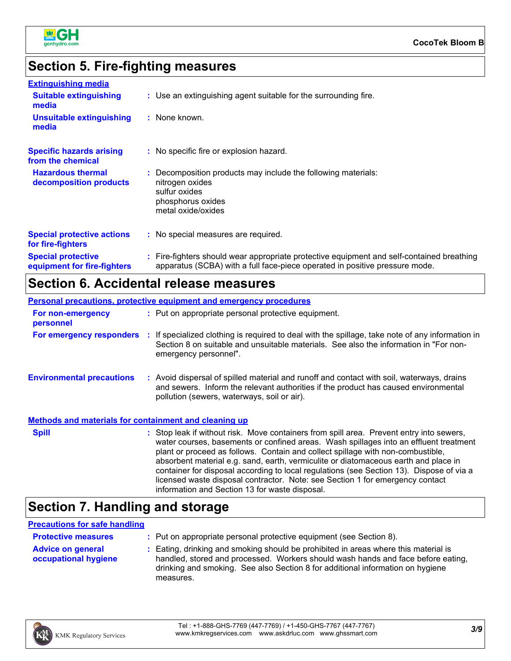

### **Section 5. Fire-fighting measures**

| <b>Extinguishing media</b>                               |                                                                                                                                                                          |
|----------------------------------------------------------|--------------------------------------------------------------------------------------------------------------------------------------------------------------------------|
| <b>Suitable extinguishing</b><br>media                   | : Use an extinguishing agent suitable for the surrounding fire.                                                                                                          |
| <b>Unsuitable extinguishing</b><br>media                 | : None known.                                                                                                                                                            |
| <b>Specific hazards arising</b><br>from the chemical     | : No specific fire or explosion hazard.                                                                                                                                  |
| <b>Hazardous thermal</b><br>decomposition products       | : Decomposition products may include the following materials:<br>nitrogen oxides<br>sulfur oxides<br>phosphorus oxides<br>metal oxide/oxides                             |
| <b>Special protective actions</b><br>for fire-fighters   | : No special measures are required.                                                                                                                                      |
| <b>Special protective</b><br>equipment for fire-fighters | : Fire-fighters should wear appropriate protective equipment and self-contained breathing<br>apparatus (SCBA) with a full face-piece operated in positive pressure mode. |

### **Section 6. Accidental release measures**

|                                                              | Personal precautions, protective equipment and emergency procedures                                                                                                                                                                                                                                                                                                                                                                                                                                                                      |
|--------------------------------------------------------------|------------------------------------------------------------------------------------------------------------------------------------------------------------------------------------------------------------------------------------------------------------------------------------------------------------------------------------------------------------------------------------------------------------------------------------------------------------------------------------------------------------------------------------------|
| For non-emergency<br>personnel                               | : Put on appropriate personal protective equipment.                                                                                                                                                                                                                                                                                                                                                                                                                                                                                      |
|                                                              | For emergency responders : If specialized clothing is required to deal with the spillage, take note of any information in<br>Section 8 on suitable and unsuitable materials. See also the information in "For non-<br>emergency personnel".                                                                                                                                                                                                                                                                                              |
| <b>Environmental precautions</b>                             | : Avoid dispersal of spilled material and runoff and contact with soil, waterways, drains<br>and sewers. Inform the relevant authorities if the product has caused environmental<br>pollution (sewers, waterways, soil or air).                                                                                                                                                                                                                                                                                                          |
| <b>Methods and materials for containment and cleaning up</b> |                                                                                                                                                                                                                                                                                                                                                                                                                                                                                                                                          |
| <b>Spill</b>                                                 | : Stop leak if without risk. Move containers from spill area. Prevent entry into sewers,<br>water courses, basements or confined areas. Wash spillages into an effluent treatment<br>plant or proceed as follows. Contain and collect spillage with non-combustible,<br>absorbent material e.g. sand, earth, vermiculite or diatomaceous earth and place in<br>container for disposal according to local regulations (see Section 13). Dispose of via a<br>licensed waste disposal contractor. Note: see Section 1 for emergency contact |

## **Section 7. Handling and storage**

### **Precautions for safe handling**

| <b>Protective measures</b>                       | : Put on appropriate personal protective equipment (see Section 8).                                                                                                                                                                                                    |
|--------------------------------------------------|------------------------------------------------------------------------------------------------------------------------------------------------------------------------------------------------------------------------------------------------------------------------|
| <b>Advice on general</b><br>occupational hygiene | : Eating, drinking and smoking should be prohibited in areas where this material is<br>handled, stored and processed. Workers should wash hands and face before eating,<br>drinking and smoking. See also Section 8 for additional information on hygiene<br>measures. |

information and Section 13 for waste disposal.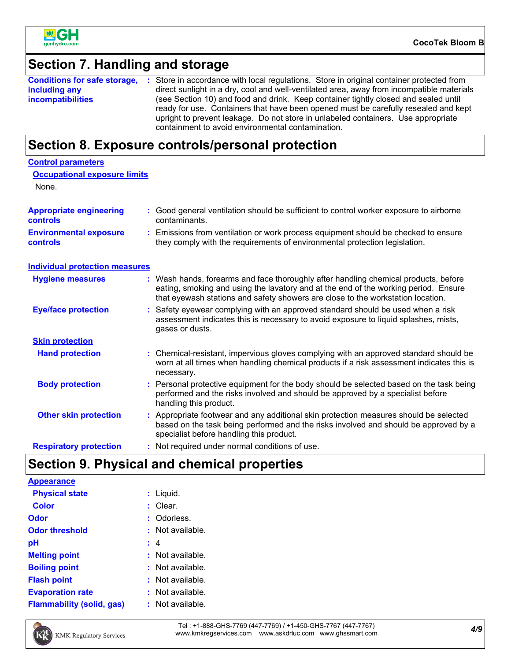

### **Section 7. Handling and storage**

|                          | <b>Conditions for safe storage, :</b> Store in accordance with local regulations. Store in original container protected from                                                                                                                                                                                         |
|--------------------------|----------------------------------------------------------------------------------------------------------------------------------------------------------------------------------------------------------------------------------------------------------------------------------------------------------------------|
| including any            | direct sunlight in a dry, cool and well-ventilated area, away from incompatible materials                                                                                                                                                                                                                            |
| <i>incompatibilities</i> | (see Section 10) and food and drink. Keep container tightly closed and sealed until<br>ready for use. Containers that have been opened must be carefully resealed and kept<br>upright to prevent leakage. Do not store in unlabeled containers. Use appropriate<br>containment to avoid environmental contamination. |

### **Section 8. Exposure controls/personal protection**

| <b>Control parameters</b>                  |                                                                                                                                                                                                                                                               |
|--------------------------------------------|---------------------------------------------------------------------------------------------------------------------------------------------------------------------------------------------------------------------------------------------------------------|
| <b>Occupational exposure limits</b>        |                                                                                                                                                                                                                                                               |
| None.                                      |                                                                                                                                                                                                                                                               |
| <b>Appropriate engineering</b><br>controls | : Good general ventilation should be sufficient to control worker exposure to airborne<br>contaminants.                                                                                                                                                       |
| <b>Environmental exposure</b><br>controls  | : Emissions from ventilation or work process equipment should be checked to ensure<br>they comply with the requirements of environmental protection legislation.                                                                                              |
| <b>Individual protection measures</b>      |                                                                                                                                                                                                                                                               |
| <b>Hygiene measures</b>                    | : Wash hands, forearms and face thoroughly after handling chemical products, before<br>eating, smoking and using the lavatory and at the end of the working period. Ensure<br>that eyewash stations and safety showers are close to the workstation location. |
| <b>Eye/face protection</b>                 | : Safety eyewear complying with an approved standard should be used when a risk<br>assessment indicates this is necessary to avoid exposure to liquid splashes, mists,<br>gases or dusts.                                                                     |
| <b>Skin protection</b>                     |                                                                                                                                                                                                                                                               |
| <b>Hand protection</b>                     | : Chemical-resistant, impervious gloves complying with an approved standard should be<br>worn at all times when handling chemical products if a risk assessment indicates this is<br>necessary.                                                               |
| <b>Body protection</b>                     | : Personal protective equipment for the body should be selected based on the task being<br>performed and the risks involved and should be approved by a specialist before<br>handling this product.                                                           |
| <b>Other skin protection</b>               | : Appropriate footwear and any additional skin protection measures should be selected<br>based on the task being performed and the risks involved and should be approved by a<br>specialist before handling this product.                                     |
| <b>Respiratory protection</b>              | : Not required under normal conditions of use.                                                                                                                                                                                                                |

### **Section 9. Physical and chemical properties**

| <b>Appearance</b>                |                    |
|----------------------------------|--------------------|
| <b>Physical state</b>            | : Liquid.          |
| <b>Color</b>                     | : Clear.           |
| <b>Odor</b>                      | : Odorless.        |
| <b>Odor threshold</b>            | : Not available.   |
| рH                               | : 4                |
| <b>Melting point</b>             | : Not available.   |
| <b>Boiling point</b>             | : Not available.   |
| <b>Flash point</b>               | : Not available.   |
| <b>Evaporation rate</b>          | : Not available.   |
| <b>Flammability (solid, gas)</b> | $:$ Not available. |



*4/9* Tel : +1-888-GHS-7769 (447-7769) / +1-450-GHS-7767 (447-7767) www.kmkregservices.com www.askdrluc.com www.ghssmart.com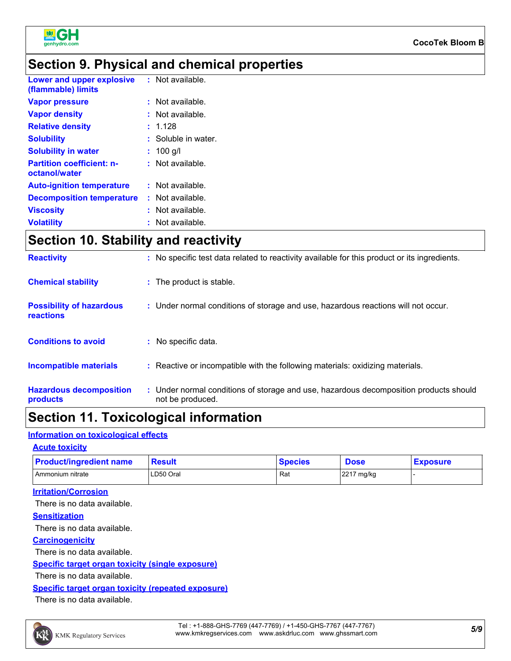

### **Section 9. Physical and chemical properties**

| Lower and upper explosive<br>(flammable) limits   | : Not available.    |
|---------------------------------------------------|---------------------|
| <b>Vapor pressure</b>                             | : Not available.    |
| <b>Vapor density</b>                              | Not available.      |
| <b>Relative density</b>                           | : 1.128             |
| <b>Solubility</b>                                 | : Soluble in water. |
| <b>Solubility in water</b>                        | $: 100$ q/l         |
| <b>Partition coefficient: n-</b><br>octanol/water | : Not available.    |
| <b>Auto-ignition temperature</b>                  | : Not available.    |
| <b>Decomposition temperature</b>                  | : Not available.    |
| <b>Viscosity</b>                                  | : Not available.    |
| <b>Volatility</b>                                 | : Not available.    |

### **Section 10. Stability and reactivity**

| <b>Reactivity</b>                            | : No specific test data related to reactivity available for this product or its ingredients.              |
|----------------------------------------------|-----------------------------------------------------------------------------------------------------------|
| <b>Chemical stability</b>                    | : The product is stable.                                                                                  |
| <b>Possibility of hazardous</b><br>reactions | : Under normal conditions of storage and use, hazardous reactions will not occur.                         |
| <b>Conditions to avoid</b>                   | : No specific data.                                                                                       |
| <b>Incompatible materials</b>                | : Reactive or incompatible with the following materials: oxidizing materials.                             |
| <b>Hazardous decomposition</b><br>products   | : Under normal conditions of storage and use, hazardous decomposition products should<br>not be produced. |
|                                              |                                                                                                           |

### **Section 11. Toxicological information**

#### **Information on toxicological effects**

#### **Acute toxicity**

| <b>Product/ingredient name</b> | <b>Result</b> | <b>Species</b> | <b>Dose</b> | <b>Exposure</b> |
|--------------------------------|---------------|----------------|-------------|-----------------|
| Ammonium nitrate               | LD50 Oral     | Rat            | 2217 mg/kg  |                 |

#### **Irritation/Corrosion**

There is no data available.

#### **Sensitization**

There is no data available.

#### **Carcinogenicity**

There is no data available.

#### **Specific target organ toxicity (single exposure)**

There is no data available.

#### **Specific target organ toxicity (repeated exposure)**

There is no data available.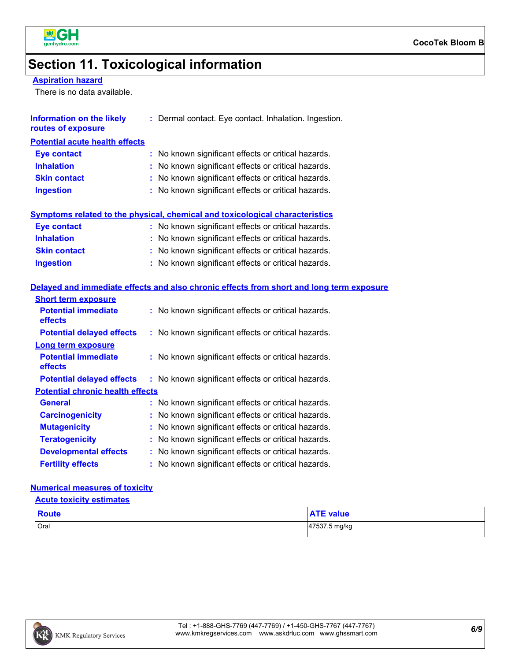

### **Section 11. Toxicological information**

#### **Aspiration hazard**

**Ingestion**

There is no data available.

| Information on the likely<br>routes of exposure | : Dermal contact. Eye contact. Inhalation. Ingestion.                               |
|-------------------------------------------------|-------------------------------------------------------------------------------------|
| <b>Potential acute health effects</b>           |                                                                                     |
| <b>Eye contact</b>                              | : No known significant effects or critical hazards.                                 |
| <b>Inhalation</b>                               | : No known significant effects or critical hazards.                                 |
| <b>Skin contact</b>                             | : No known significant effects or critical hazards.                                 |
| <b>Ingestion</b>                                | : No known significant effects or critical hazards.                                 |
|                                                 | <b>Symptoms related to the physical, chemical and toxicological characteristics</b> |
| Eye contact                                     | : No known significant effects or critical hazards.                                 |
| <b>Inhalation</b>                               | : No known significant effects or critical hazards.                                 |
| <b>Skin contact</b>                             | : No known significant effects or critical hazards.                                 |

#### **Delayed and immediate effects and also chronic effects from short and long term exposure**

| <b>Short term exposure</b>              |                                                     |
|-----------------------------------------|-----------------------------------------------------|
| <b>Potential immediate</b><br>effects   | : No known significant effects or critical hazards. |
| <b>Potential delayed effects</b>        | : No known significant effects or critical hazards. |
| <b>Long term exposure</b>               |                                                     |
| <b>Potential immediate</b><br>effects   | : No known significant effects or critical hazards. |
| <b>Potential delayed effects</b>        | : No known significant effects or critical hazards. |
| <b>Potential chronic health effects</b> |                                                     |
| General                                 | : No known significant effects or critical hazards. |
| <b>Carcinogenicity</b>                  | : No known significant effects or critical hazards. |
| <b>Mutagenicity</b>                     | : No known significant effects or critical hazards. |
| <b>Teratogenicity</b>                   | : No known significant effects or critical hazards. |
| <b>Developmental effects</b>            | : No known significant effects or critical hazards. |
| <b>Fertility effects</b>                | : No known significant effects or critical hazards. |

#### **Numerical measures of toxicity**

| <b>Acute toxicity estimates</b> |  |
|---------------------------------|--|
|                                 |  |

| <b>Route</b> | value         |
|--------------|---------------|
| Oral         | 47537.5 mg/kg |

No known significant effects or critical hazards. **:**

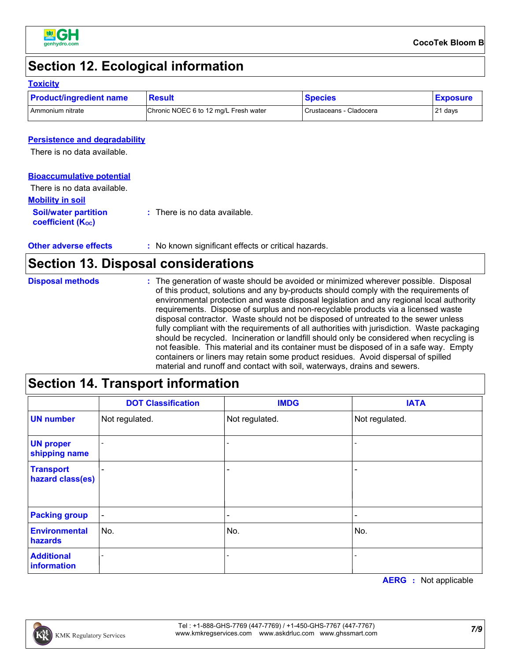

### **Section 12. Ecological information**

#### **Toxicity**

| <b>Product/ingredient name</b> | <b>Result</b>                         | <b>Species</b>          | <b>Exposure</b> |
|--------------------------------|---------------------------------------|-------------------------|-----------------|
| Ammonium nitrate               | Chronic NOEC 6 to 12 mg/L Fresh water | Crustaceans - Cladocera | 21 days         |

#### **Persistence and degradability**

There is no data available.

#### **Bioaccumulative potential**

| There is no data available.                                   |                                          |
|---------------------------------------------------------------|------------------------------------------|
| <b>Mobility in soil</b>                                       |                                          |
| <b>Soil/water partition</b><br>coefficient (K <sub>oc</sub> ) | $\therefore$ There is no data available. |

| : No known significant effects or critical hazards.<br><b>Other adverse effects</b> |  |
|-------------------------------------------------------------------------------------|--|
|-------------------------------------------------------------------------------------|--|

### **Section 13. Disposal considerations**

| <b>Disposal methods</b> | : The generation of waste should be avoided or minimized wherever possible. Disposal<br>of this product, solutions and any by-products should comply with the requirements of<br>environmental protection and waste disposal legislation and any regional local authority<br>requirements. Dispose of surplus and non-recyclable products via a licensed waste<br>disposal contractor. Waste should not be disposed of untreated to the sewer unless<br>fully compliant with the requirements of all authorities with jurisdiction. Waste packaging<br>should be recycled. Incineration or landfill should only be considered when recycling is<br>not feasible. This material and its container must be disposed of in a safe way. Empty<br>containers or liners may retain some product residues. Avoid dispersal of spilled |
|-------------------------|--------------------------------------------------------------------------------------------------------------------------------------------------------------------------------------------------------------------------------------------------------------------------------------------------------------------------------------------------------------------------------------------------------------------------------------------------------------------------------------------------------------------------------------------------------------------------------------------------------------------------------------------------------------------------------------------------------------------------------------------------------------------------------------------------------------------------------|
|                         | material and runoff and contact with soil, waterways, drains and sewers.                                                                                                                                                                                                                                                                                                                                                                                                                                                                                                                                                                                                                                                                                                                                                       |

### **Section 14. Transport information**

|                                      | <b>DOT Classification</b> | <b>IMDG</b>    | <b>IATA</b>    |
|--------------------------------------|---------------------------|----------------|----------------|
| <b>UN</b> number                     | Not regulated.            | Not regulated. | Not regulated. |
| <b>UN proper</b><br>shipping name    |                           |                |                |
| <b>Transport</b><br>hazard class(es) |                           |                |                |
| <b>Packing group</b>                 | $\overline{\phantom{a}}$  |                |                |
| <b>Environmental</b><br>hazards      | No.                       | No.            | No.            |
| <b>Additional</b><br>information     |                           |                |                |

**AERG :** Not applicable

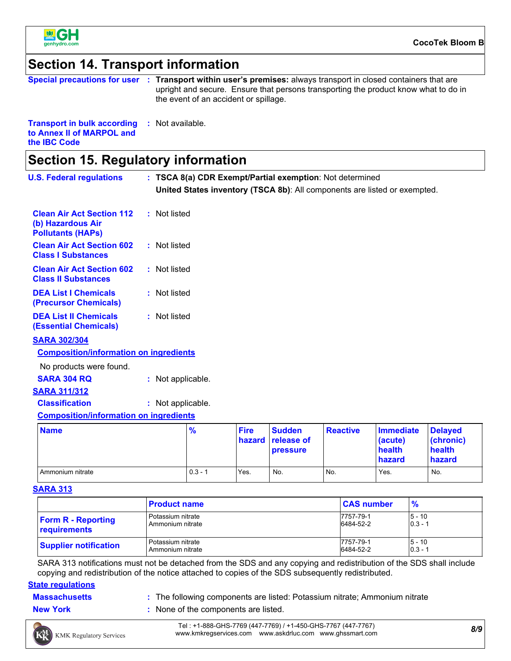

**the IBC Code**

### **Section 14. Transport information**

| Special precautions for user :                      | <b>Transport within user's premises:</b> always transport in closed containers that are<br>upright and secure. Ensure that persons transporting the product know what to do in<br>the event of an accident or spillage. |  |
|-----------------------------------------------------|-------------------------------------------------------------------------------------------------------------------------------------------------------------------------------------------------------------------------|--|
| <b>Transport in bulk according : Not available.</b> |                                                                                                                                                                                                                         |  |

| Section 15. Regulatory information |
|------------------------------------|
|------------------------------------|

**to Annex II of MARPOL and** 

| <b>U.S. Federal regulations</b>                                                   |  |                   |               |                       | : TSCA 8(a) CDR Exempt/Partial exemption: Not determined |                 |                                                                           |                                                 |
|-----------------------------------------------------------------------------------|--|-------------------|---------------|-----------------------|----------------------------------------------------------|-----------------|---------------------------------------------------------------------------|-------------------------------------------------|
|                                                                                   |  |                   |               |                       |                                                          |                 | United States inventory (TSCA 8b): All components are listed or exempted. |                                                 |
| <b>Clean Air Act Section 112</b><br>(b) Hazardous Air<br><b>Pollutants (HAPs)</b> |  | : Not listed      |               |                       |                                                          |                 |                                                                           |                                                 |
| <b>Clean Air Act Section 602</b><br><b>Class I Substances</b>                     |  | : Not listed      |               |                       |                                                          |                 |                                                                           |                                                 |
| <b>Clean Air Act Section 602</b><br><b>Class II Substances</b>                    |  | : Not listed      |               |                       |                                                          |                 |                                                                           |                                                 |
| <b>DEA List I Chemicals</b><br>(Precursor Chemicals)                              |  | : Not listed      |               |                       |                                                          |                 |                                                                           |                                                 |
| <b>DEA List II Chemicals</b><br><b>(Essential Chemicals)</b>                      |  | : Not listed      |               |                       |                                                          |                 |                                                                           |                                                 |
| <b>SARA 302/304</b>                                                               |  |                   |               |                       |                                                          |                 |                                                                           |                                                 |
| <b>Composition/information on ingredients</b>                                     |  |                   |               |                       |                                                          |                 |                                                                           |                                                 |
| No products were found.                                                           |  |                   |               |                       |                                                          |                 |                                                                           |                                                 |
| <b>SARA 304 RQ</b>                                                                |  | : Not applicable. |               |                       |                                                          |                 |                                                                           |                                                 |
| <b>SARA 311/312</b>                                                               |  |                   |               |                       |                                                          |                 |                                                                           |                                                 |
| <b>Classification</b>                                                             |  | : Not applicable. |               |                       |                                                          |                 |                                                                           |                                                 |
| <b>Composition/information on ingredients</b>                                     |  |                   |               |                       |                                                          |                 |                                                                           |                                                 |
| <b>Name</b>                                                                       |  |                   | $\frac{9}{6}$ | <b>Fire</b><br>hazard | <b>Sudden</b><br>release of<br><b>pressure</b>           | <b>Reactive</b> | <b>Immediate</b><br>(acute)<br>health<br>hazard                           | <b>Delayed</b><br>(chronic)<br>health<br>hazard |

#### **SARA 313**

|                              | <b>Product name</b> | <b>CAS number</b> | $\frac{9}{6}$ |
|------------------------------|---------------------|-------------------|---------------|
| <b>Form R - Reporting</b>    | Potassium nitrate   | 7757-79-1         | $15 - 10$     |
| requirements                 | Ammonium nitrate    | 6484-52-2         | $0.3 - 1$     |
| <b>Supplier notification</b> | Potassium nitrate   | 7757-79-1         | $5 - 10$      |
|                              | Ammonium nitrate    | 6484-52-2         | $0.3 - 1$     |

Ammonium nitrate 0.3 - 1 Yes. No. No. Yes. No.

SARA 313 notifications must not be detached from the SDS and any copying and redistribution of the SDS shall include copying and redistribution of the notice attached to copies of the SDS subsequently redistributed.

#### **State regulations**

- **Massachusetts** The following components are listed: Potassium nitrate; Ammonium nitrate **Massachusetts**
- **New York :** None of the components are listed.
	- *8/9* Tel : +1-888-GHS-7769 (447-7769) / +1-450-GHS-7767 (447-7767)